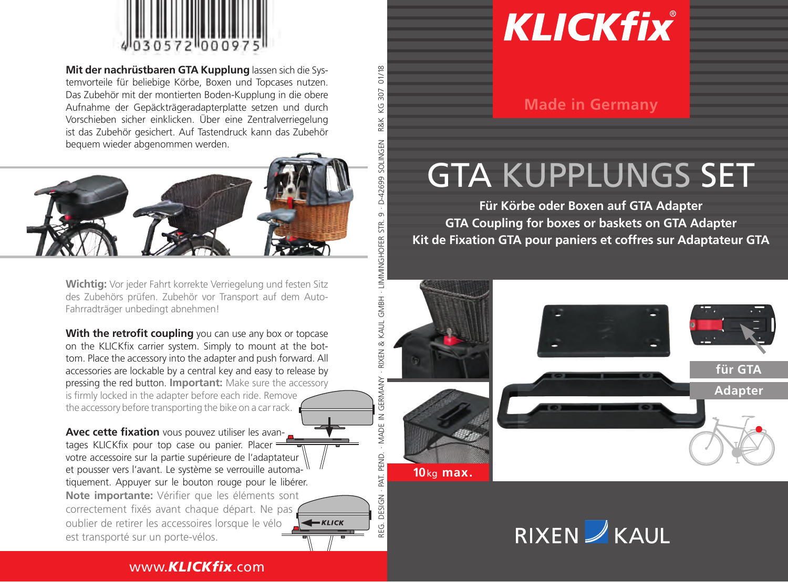

**Mit der nachrüstbaren GTA Kupplung** lassen sich die Systemvorteile für beliebige Körbe, Boxen und Topcases nutzen. Das Zubehör mit der montierten Boden-Kupplung in die obere Aufnahme der Gepäckträgeradapterplatte setzen und durch Vorschieben sicher einklicken. Über eine Zentralverriegelung ist das Zubehör gesichert. Auf Tastendruck kann das Zubehör bequem wieder abgenommen werden.

R&K KG 307 01/18

 $-0 - 42699$ o

 $11/18$ 307 ÿ 2 RK

REG. DESIGN · PAT. PEND. · Made in Germany · RIXEN & KAUL GmbH · Limminghofer Str. 9 · D-42699 Solingen

- RIXEN &

GERMANY

MADE IN

PEND. I IVe JESIGN ŗ.

KAUL GMBH - LIMMINGHOFER STR.



**Wichtig:** Vor jeder Fahrt korrekte Verriegelung und festen Sitz des Zubehörs prüfen. Zubehör vor Transport auf dem Auto-Fahrradträger unbedingt abnehmen!

**With the retrofit coupling** you can use any box or topcase on the KLICKfix carrier system. Simply to mount at the bottom. Place the accessory into the adapter and push forward. All accessories are lockable by a central key and easy to release by pressing the red button. **Important:** Make sure the accessory is firmly locked in the adapter before each ride. Remove the accessory before transporting the bike on a car rack.

**Avec cette fixation** vous pouvez utiliser les avantages KLICKfix pour top case ou panier. Placer votre accessoire sur la partie supérieure de l'adaptateur et pousser vers l'avant. Le système se verrouille automatiquement. Appuyer sur le bouton rouge pour le libérer. **Note importante:** Vérifier que les éléments sont correctement fixés avant chaque départ. Ne pas oublier de retirer les accessoires lorsque le vélo est transporté sur un porte-vélos.

## **KLICKfix**

**Made in Germany**

## GTA Kupplungs Set

**Für Körbe oder Boxen auf GTA Adapter GTA Coupling for boxes or baskets on GTA Adapter Kit de Fixation GTA pour paniers et coffres sur Adaptateur GTA**



RIXEN KAUL

## www.*KLICKfix*.com